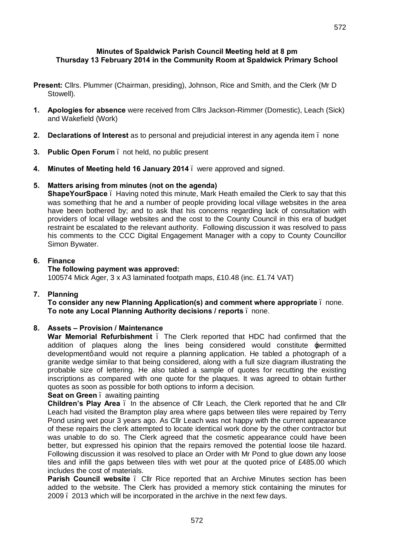## **Minutes of Spaldwick Parish Council Meeting held at 8 pm Thursday 13 February 2014 in the Community Room at Spaldwick Primary School**

- **Present:** Cllrs. Plummer (Chairman, presiding), Johnson, Rice and Smith, and the Clerk (Mr D Stowell).
- **1. Apologies for absence** were received from Cllrs Jackson-Rimmer (Domestic), Leach (Sick) and Wakefield (Work)
- **2. Declarations of Interest** as to personal and prejudicial interest in any agenda item none
- **3. Public Open Forum**  not held, no public present
- **4. Minutes of Meeting held 16 January 2014**  were approved and signed.

## **5. Matters arising from minutes (not on the agenda)**

**ShapeYourSpace** – Having noted this minute, Mark Heath emailed the Clerk to say that this was something that he and a number of people providing local village websites in the area have been bothered by; and to ask that his concerns regarding lack of consultation with providers of local village websites and the cost to the County Council in this era of budget restraint be escalated to the relevant authority. Following discussion it was resolved to pass his comments to the CCC Digital Engagement Manager with a copy to County Councillor Simon Bywater.

## **6. Finance**

## **The following payment was approved:**

100574 Mick Ager, 3 x A3 laminated footpath maps, £10.48 (inc. £1.74 VAT)

# **7. Planning**

**To consider any new Planning Application(s) and comment where appropriate** – none. **To note any Local Planning Authority decisions / reports** – none.

# **8. Assets – Provision / Maintenance**

War Memorial Refurbishment . The Clerk reported that HDC had confirmed that the addition of plaques along the lines being considered would constitute permitted developmentg and would not require a planning application. He tabled a photograph of a granite wedge similar to that being considered, along with a full size diagram illustrating the probable size of lettering. He also tabled a sample of quotes for recutting the existing inscriptions as compared with one quote for the plaques. It was agreed to obtain further quotes as soon as possible for both options to inform a decision.

**Seat on Green** – awaiting painting

**Children's Play Area** – In the absence of Cllr Leach, the Clerk reported that he and Cllr Leach had visited the Brampton play area where gaps between tiles were repaired by Terry Pond using wet pour 3 years ago. As Cllr Leach was not happy with the current appearance of these repairs the clerk attempted to locate identical work done by the other contractor but was unable to do so. The Clerk agreed that the cosmetic appearance could have been better, but expressed his opinion that the repairs removed the potential loose tile hazard. Following discussion it was resolved to place an Order with Mr Pond to glue down any loose tiles and infill the gaps between tiles with wet pour at the quoted price of £485.00 which includes the cost of materials.

**Parish Council website** . Cllr Rice reported that an Archive Minutes section has been added to the website. The Clerk has provided a memory stick containing the minutes for 2009 – 2013 which will be incorporated in the archive in the next few days.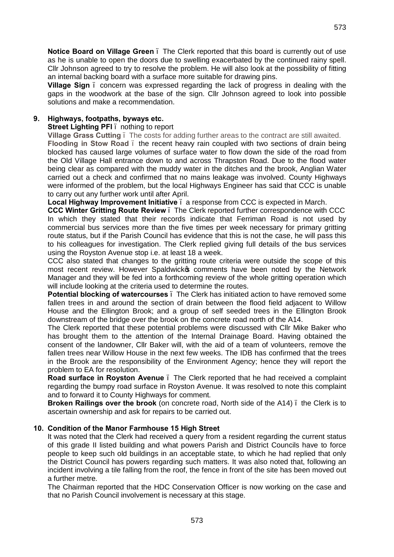**Notice Board on Village Green** – The Clerk reported that this board is currently out of use as he is unable to open the doors due to swelling exacerbated by the continued rainy spell. Cllr Johnson agreed to try to resolve the problem. He will also look at the possibility of fitting an internal backing board with a surface more suitable for drawing pins.

**Village Sign** – concern was expressed regarding the lack of progress in dealing with the gaps in the woodwork at the base of the sign. Cllr Johnson agreed to look into possible solutions and make a recommendation.

## **9. Highways, footpaths, byways etc.**

#### **Street Lighting PFI** – nothing to report

**Village Grass Cutting** – The costs for adding further areas to the contract are still awaited. **Flooding in Stow Road** – the recent heavy rain coupled with two sections of drain being blocked has caused large volumes of surface water to flow down the side of the road from the Old Village Hall entrance down to and across Thrapston Road. Due to the flood water being clear as compared with the muddy water in the ditches and the brook, Anglian Water carried out a check and confirmed that no mains leakage was involved. County Highways were informed of the problem, but the local Highways Engineer has said that CCC is unable to carry out any further work until after April.

**Local Highway Improvement Initiative** – a response from CCC is expected in March.

**CCC Winter Gritting Route Review** – The Clerk reported further correspondence with CCC In which they stated that their records indicate that Ferriman Road is not used by commercial bus services more than the five times per week necessary for primary gritting route status, but if the Parish Council has evidence that this is not the case, he will pass this to his colleagues for investigation. The Clerk replied giving full details of the bus services using the Royston Avenue stop i.e. at least 18 a week.

CCC also stated that changes to the gritting route criteria were outside the scope of this most recent review. However Spaldwick to comments have been noted by the Network Manager and they will be fed into a forthcoming review of the whole gritting operation which will include looking at the criteria used to determine the routes.

**Potential blocking of watercourses** – The Clerk has initiated action to have removed some fallen trees in and around the section of drain between the flood field adjacent to Willow House and the Ellington Brook; and a group of self seeded trees in the Ellington Brook downstream of the bridge over the brook on the concrete road north of the A14.

The Clerk reported that these potential problems were discussed with Cllr Mike Baker who has brought them to the attention of the Internal Drainage Board. Having obtained the consent of the landowner, Cllr Baker will, with the aid of a team of volunteers, remove the fallen trees near Willow House in the next few weeks. The IDB has confirmed that the trees in the Brook are the responsibility of the Environment Agency; hence they will report the problem to EA for resolution.

**Road surface in Royston Avenue** . The Clerk reported that he had received a complaint regarding the bumpy road surface in Royston Avenue. It was resolved to note this complaint and to forward it to County Highways for comment.

**Broken Railings over the brook** (on concrete road, North side of the A14) – the Clerk is to ascertain ownership and ask for repairs to be carried out.

### **10. Condition of the Manor Farmhouse 15 High Street**

It was noted that the Clerk had received a query from a resident regarding the current status of this grade II listed building and what powers Parish and District Councils have to force people to keep such old buildings in an acceptable state, to which he had replied that only the District Council has powers regarding such matters. It was also noted that, following an incident involving a tile falling from the roof, the fence in front of the site has been moved out a further metre.

The Chairman reported that the HDC Conservation Officer is now working on the case and that no Parish Council involvement is necessary at this stage.